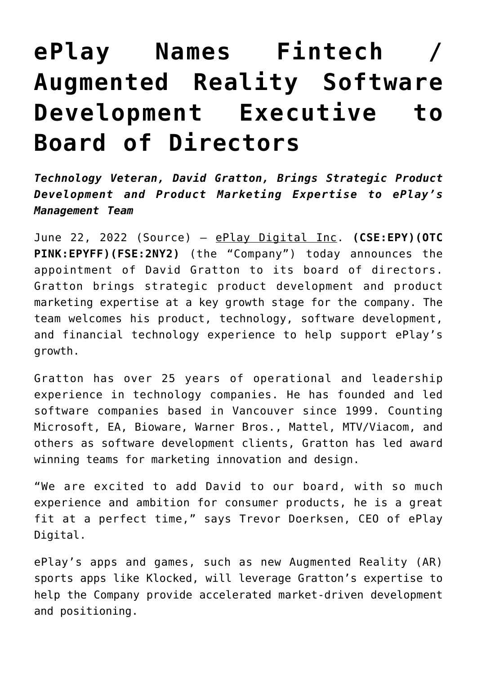## **[ePlay Names Fintech /](https://investorintel.com/markets/esports-gaming/esports-gaming-news/eplay-names-fintech-augmented-reality-software-development-executive-to-board-of-directors/) [Augmented Reality Software](https://investorintel.com/markets/esports-gaming/esports-gaming-news/eplay-names-fintech-augmented-reality-software-development-executive-to-board-of-directors/) [Development Executive to](https://investorintel.com/markets/esports-gaming/esports-gaming-news/eplay-names-fintech-augmented-reality-software-development-executive-to-board-of-directors/) [Board of Directors](https://investorintel.com/markets/esports-gaming/esports-gaming-news/eplay-names-fintech-augmented-reality-software-development-executive-to-board-of-directors/)**

*Technology Veteran, David Gratton, Brings Strategic Product Development and Product Marketing Expertise to ePlay's Management Team*

June 22, 2022 (Source) – [ePlay Digital Inc.](https://pr.report/WuPq39YJ) **[\(CSE:EPY\)](https://pr.report/Hmjafuik)[\(OTC](https://pr.report/cZUft3DP) [PINK:EPYFF\)](https://pr.report/cZUft3DP)[\(FSE:2NY2\)](https://pr.report/xiMQKTk2)** (the "Company") today announces the appointment of David Gratton to its board of directors. Gratton brings strategic product development and product marketing expertise at a key growth stage for the company. The team welcomes his product, technology, software development, and financial technology experience to help support ePlay's growth.

Gratton has over 25 years of operational and leadership experience in technology companies. He has founded and led software companies based in Vancouver since 1999. Counting Microsoft, EA, Bioware, Warner Bros., Mattel, MTV/Viacom, and others as software development clients, Gratton has led award winning teams for marketing innovation and design.

"We are excited to add David to our board, with so much experience and ambition for consumer products, he is a great fit at a perfect time," says Trevor Doerksen, CEO of ePlay Digital.

ePlay's apps and games, such as new Augmented Reality (AR) sports apps like Klocked, will leverage Gratton's expertise to help the Company provide accelerated market-driven development and positioning.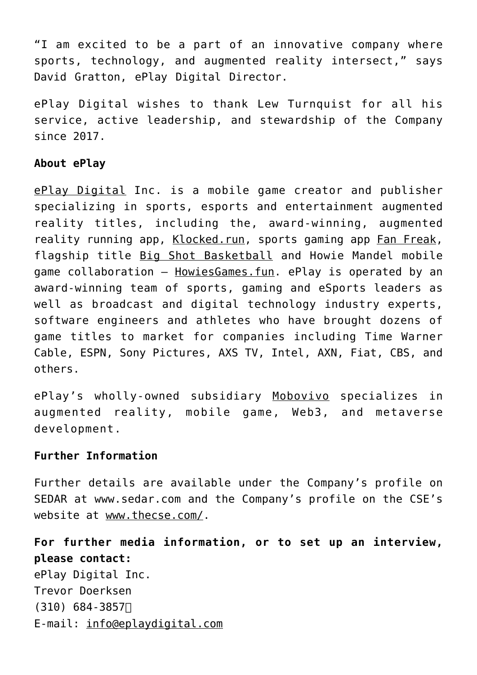"I am excited to be a part of an innovative company where sports, technology, and augmented reality intersect," says David Gratton, ePlay Digital Director.

ePlay Digital wishes to thank Lew Turnquist for all his service, active leadership, and stewardship of the Company since 2017.

## **About ePlay**

[ePlay Digital](https://pr.report/qEwF3LTj) Inc. is a mobile game creator and publisher specializing in sports, esports and entertainment augmented reality titles, including the, award-winning, augmented reality running app, [Klocked.run,](https://pr.report/Ty36o8V7) sports gaming app [Fan Freak,](https://pr.report/DzcNT8Ra) flagship title [Big Shot Basketball](https://pr.report/D0mxuGbt) and Howie Mandel mobile game collaboration – [HowiesGames.fun.](https://pr.report/bwZfiBNp) ePlay is operated by an award-winning team of sports, gaming and eSports leaders as well as broadcast and digital technology industry experts, software engineers and athletes who have brought dozens of game titles to market for companies including Time Warner Cable, ESPN, Sony Pictures, AXS TV, Intel, AXN, Fiat, CBS, and others.

ePlay's wholly-owned subsidiary [Mobovivo](https://pr.report/OU8or03Q) specializes in augmented reality, mobile game, Web3, and metaverse development.

## **Further Information**

Further details are available under the Company's profile on SEDAR at [www.sedar.com](https://pr.report/rYc5RpXa) and the Company's profile on the CSE's website at [www.thecse.com/.](https://pr.report/ycrIuVfN)

**For further media information, or to set up an interview, please contact:** ePlay Digital Inc. Trevor Doerksen  $(310)$  684-3857 E-mail: [info@eplaydigital.com](mailto:info@eplaydigital.com)